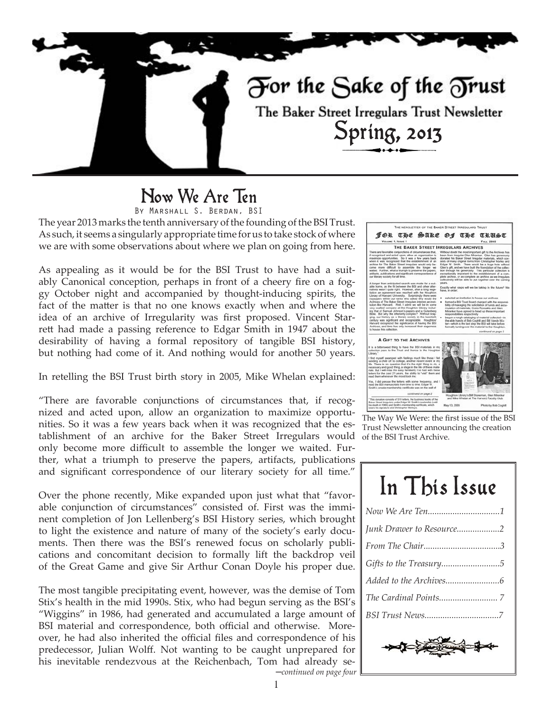

# Now We Are Ten

By Marshall S. Berdan, BSI

The year 2013 marks the tenth anniversary of the founding of the BSI Trust. As such, it seems a singularly appropriate time for us to take stock of where we are with some observations about where we plan on going from here.

As appealing as it would be for the BSI Trust to have had a suitably Canonical conception, perhaps in front of a cheery fire on a foggy October night and accompanied by thought-inducing spirits, the fact of the matter is that no one knows exactly when and where the idea of an archive of Irregularity was first proposed. Vincent Starrett had made a passing reference to Edgar Smith in 1947 about the desirability of having a formal repository of tangible BSI history, but nothing had come of it. And nothing would for another 50 years.

In retelling the BSI Trust birth story in 2005, Mike Whelan explained:

"There are favorable conjunctions of circumstances that, if recognized and acted upon, allow an organization to maximize opportunities. So it was a few years back when it was recognized that the establishment of an archive for the Baker Street Irregulars would only become more difficult to assemble the longer we waited. Further, what a triumph to preserve the papers, artifacts, publications and significant correspondence of our literary society for all time."

Over the phone recently, Mike expanded upon just what that "favorable conjunction of circumstances" consisted of. First was the imminent completion of Jon Lellenberg's BSI History series, which brought to light the existence and nature of many of the society's early documents. Then there was the BSI's renewed focus on scholarly publications and concomitant decision to formally lift the backdrop veil of the Great Game and give Sir Arthur Conan Doyle his proper due.

The most tangible precipitating event, however, was the demise of Tom Stix's health in the mid 1990s. Stix, who had begun serving as the BSI's "Wiggins" in 1986, had generated and accumulated a large amount of BSI material and correspondence, both official and otherwise. Moreover, he had also inherited the official files and correspondence of his predecessor, Julian Wolff. Not wanting to be caught unprepared for his inevitable rendezvous at the Reichenbach, Tom had already se-



The Way We Were: the first issue of the BSI Trust Newsletter announcing the creation of the BSI Trust Archive.

| In This Issue            |
|--------------------------|
|                          |
| Junk Drawer to Resource2 |
|                          |
| Gifts to the Treasury5   |
|                          |
|                          |
|                          |
|                          |

─*continued on page four*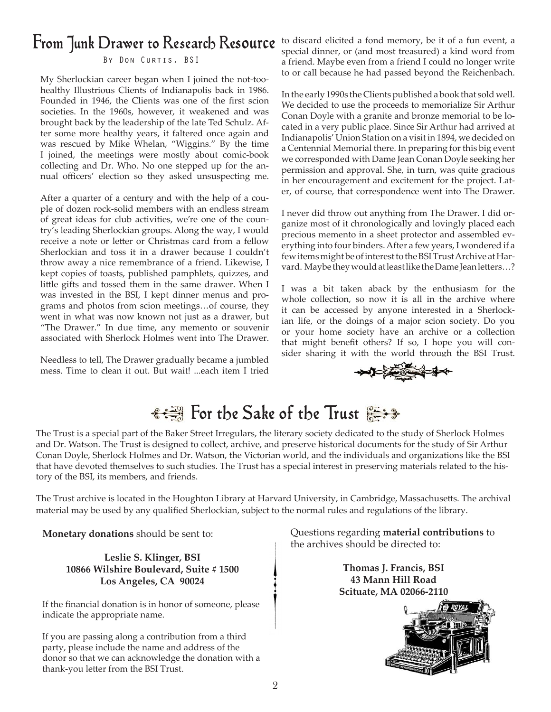# From Junk Drawer to Research Resource

#### By Don Curtis, BSI

My Sherlockian career began when I joined the not-toohealthy Illustrious Clients of Indianapolis back in 1986. Founded in 1946, the Clients was one of the first scion societies. In the 1960s, however, it weakened and was brought back by the leadership of the late Ted Schulz. After some more healthy years, it faltered once again and was rescued by Mike Whelan, "Wiggins." By the time I joined, the meetings were mostly about comic-book collecting and Dr. Who. No one stepped up for the annual officers' election so they asked unsuspecting me.

After a quarter of a century and with the help of a couple of dozen rock-solid members with an endless stream of great ideas for club activities, we're one of the country's leading Sherlockian groups. Along the way, I would receive a note or letter or Christmas card from a fellow Sherlockian and toss it in a drawer because I couldn't throw away a nice remembrance of a friend. Likewise, I kept copies of toasts, published pamphlets, quizzes, and little gifts and tossed them in the same drawer. When I was invested in the BSI, I kept dinner menus and programs and photos from scion meetings…of course, they went in what was now known not just as a drawer, but "The Drawer." In due time, any memento or souvenir associated with Sherlock Holmes went into The Drawer.

Needless to tell, The Drawer gradually became a jumbled mess. Time to clean it out. But wait! ...each item I tried to discard elicited a fond memory, be it of a fun event, a special dinner, or (and most treasured) a kind word from a friend. Maybe even from a friend I could no longer write to or call because he had passed beyond the Reichenbach.

In the early 1990s the Clients published a book that sold well. We decided to use the proceeds to memorialize Sir Arthur Conan Doyle with a granite and bronze memorial to be located in a very public place. Since Sir Arthur had arrived at Indianapolis' Union Station on a visit in 1894, we decided on a Centennial Memorial there. In preparing for this big event we corresponded with Dame Jean Conan Doyle seeking her permission and approval. She, in turn, was quite gracious in her encouragement and excitement for the project. Later, of course, that correspondence went into The Drawer.

I never did throw out anything from The Drawer. I did organize most of it chronologically and lovingly placed each precious memento in a sheet protector and assembled everything into four binders. After a few years, I wondered if a few items might be of interest to the BSI Trust Archive at Harvard. Maybe they would at least like the Dame Jean letters…?

I was a bit taken aback by the enthusiasm for the whole collection, so now it is all in the archive where it can be accessed by anyone interested in a Sherlockian life, or the doings of a major scion society. Do you or your home society have an archive or a collection that might benefit others? If so, I hope you will consider sharing it with the world through the BSI Trust.



# <del>: 3</del> For the Sake of the Trust

The Trust is a special part of the Baker Street Irregulars, the literary society dedicated to the study of Sherlock Holmes and Dr. Watson. The Trust is designed to collect, archive, and preserve historical documents for the study of Sir Arthur Conan Doyle, Sherlock Holmes and Dr. Watson, the Victorian world, and the individuals and organizations like the BSI that have devoted themselves to such studies. The Trust has a special interest in preserving materials related to the history of the BSI, its members, and friends.

The Trust archive is located in the Houghton Library at Harvard University, in Cambridge, Massachusetts. The archival material may be used by any qualified Sherlockian, subject to the normal rules and regulations of the library.

**Monetary donations** should be sent to:

**Leslie S. Klinger, BSI 10866 Wilshire Boulevard, Suite # 1500 Los Angeles, CA 90024**

If the financial donation is in honor of someone, please indicate the appropriate name.

If you are passing along a contribution from a third party, please include the name and address of the donor so that we can acknowledge the donation with a thank-you letter from the BSI Trust.

Questions regarding **material contributions** to the archives should be directed to:

> **Thomas J. Francis, BSI 43 Mann Hill Road Scituate, MA 02066-2110**

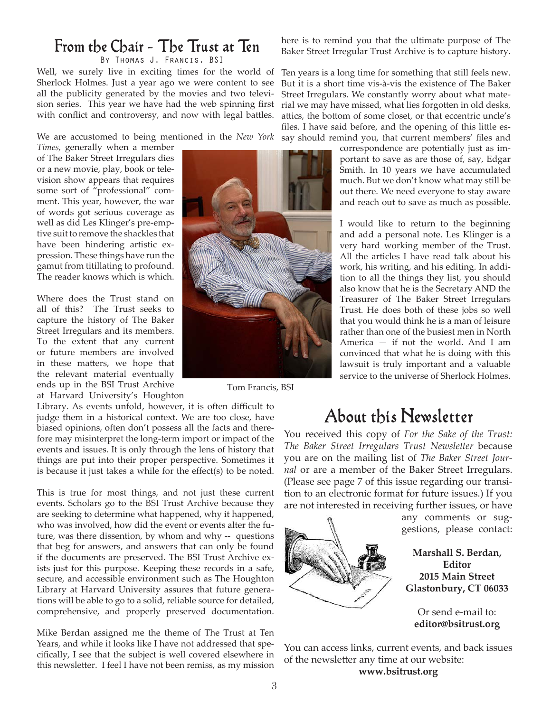## From the Chair - The Trust at Ten

By Thomas J. Francis, BSI

Well, we surely live in exciting times for the world of Sherlock Holmes. Just a year ago we were content to see all the publicity generated by the movies and two television series. This year we have had the web spinning first with conflict and controversy, and now with legal battles.

We are accustomed to being mentioned in the *New York* 

*Times,* generally when a member of The Baker Street Irregulars dies or a new movie, play, book or television show appears that requires some sort of "professional" comment. This year, however, the war of words got serious coverage as well as did Les Klinger's pre-emptive suit to remove the shackles that have been hindering artistic expression. These things have run the gamut from titillating to profound. The reader knows which is which.

Where does the Trust stand on all of this? The Trust seeks to capture the history of The Baker Street Irregulars and its members. To the extent that any current or future members are involved in these matters, we hope that the relevant material eventually ends up in the BSI Trust Archive at Harvard University's Houghton

Library. As events unfold, however, it is often difficult to judge them in a historical context. We are too close, have biased opinions, often don't possess all the facts and therefore may misinterpret the long-term import or impact of the events and issues. It is only through the lens of history that things are put into their proper perspective. Sometimes it is because it just takes a while for the effect(s) to be noted.

This is true for most things, and not just these current events. Scholars go to the BSI Trust Archive because they are seeking to determine what happened, why it happened, who was involved, how did the event or events alter the future, was there dissention, by whom and why -- questions that beg for answers, and answers that can only be found if the documents are preserved. The BSI Trust Archive exists just for this purpose. Keeping these records in a safe, secure, and accessible environment such as The Houghton Library at Harvard University assures that future generations will be able to go to a solid, reliable source for detailed, comprehensive, and properly preserved documentation.

Mike Berdan assigned me the theme of The Trust at Ten Years, and while it looks like I have not addressed that specifically, I see that the subject is well covered elsewhere in this newsletter. I feel I have not been remiss, as my mission



Tom Francis, BSI

here is to remind you that the ultimate purpose of The Baker Street Irregular Trust Archive is to capture history.

Ten years is a long time for something that still feels new. But it is a short time vis-à-vis the existence of The Baker Street Irregulars. We constantly worry about what material we may have missed, what lies forgotten in old desks, attics, the bottom of some closet, or that eccentric uncle's files. I have said before, and the opening of this little essay should remind you, that current members' files and

> correspondence are potentially just as important to save as are those of, say, Edgar Smith. In 10 years we have accumulated much. But we don't know what may still be out there. We need everyone to stay aware and reach out to save as much as possible.

> I would like to return to the beginning and add a personal note. Les Klinger is a very hard working member of the Trust. All the articles I have read talk about his work, his writing, and his editing. In addition to all the things they list, you should also know that he is the Secretary AND the Treasurer of The Baker Street Irregulars Trust. He does both of these jobs so well that you would think he is a man of leisure rather than one of the busiest men in North America — if not the world. And I am convinced that what he is doing with this lawsuit is truly important and a valuable service to the universe of Sherlock Holmes.

#### About this Newsletter

You received this copy of *For the Sake of the Trust: The Baker Street Irregulars Trust Newsletter* because you are on the mailing list of *The Baker Street Journal* or are a member of the Baker Street Irregulars. (Please see page 7 of this issue regarding our transition to an electronic format for future issues.) If you are not interested in receiving further issues, or have



**2015 Main Street Glastonbury, CT 06033**

Or send e-mail to: **editor@bsitrust.org**

You can access links, current events, and back issues of the newsletter any time at our website:

**www.bsitrust.org**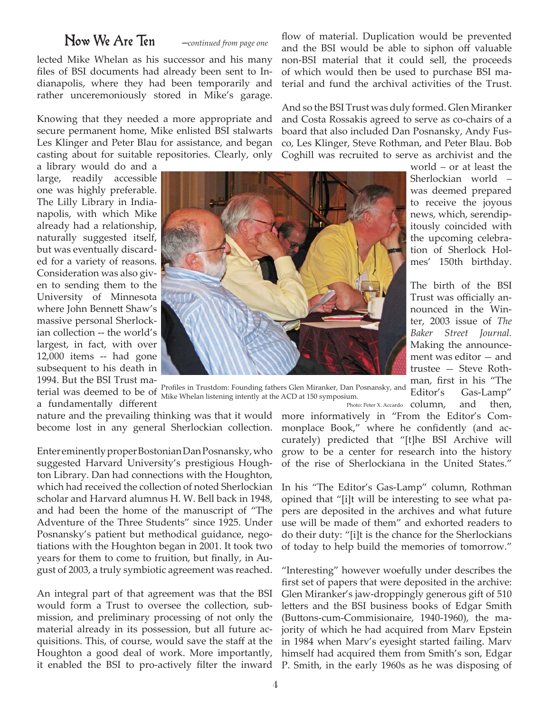#### Now We Are Ten ─*continued from page one*

lected Mike Whelan as his successor and his many files of BSI documents had already been sent to Indianapolis, where they had been temporarily and rather unceremoniously stored in Mike's garage.

Knowing that they needed a more appropriate and secure permanent home, Mike enlisted BSI stalwarts Les Klinger and Peter Blau for assistance, and began casting about for suitable repositories. Clearly, only

a library would do and a large, readily accessible one was highly preferable. The Lilly Library in Indianapolis, with which Mike already had a relationship, naturally suggested itself, but was eventually discarded for a variety of reasons. Consideration was also given to sending them to the University of Minnesota where John Bennett Shaw's massive personal Sherlockian collection -- the world's largest, in fact, with over 12,000 items -- had gone subsequent to his death in 1994. But the BSI Trust ma-



terial was deemed to be of  $\frac{1}{N_{\text{blue}}}\$  in Trustdom: Founding fathers Glen Miranker, Dan Posnansky, and a fundamentally different Mike Whelan listening intently at the ACD at 150 symposium.

nature and the prevailing thinking was that it would more informatively in "From the Editor's Combecome lost in any general Sherlockian collection.

Enter eminently proper Bostonian Dan Posnansky, who suggested Harvard University's prestigious Houghton Library. Dan had connections with the Houghton, which had received the collection of noted Sherlockian scholar and Harvard alumnus H. W. Bell back in 1948, and had been the home of the manuscript of "The Adventure of the Three Students" since 1925. Under Posnansky's patient but methodical guidance, negotiations with the Houghton began in 2001. It took two years for them to come to fruition, but finally, in August of 2003, a truly symbiotic agreement was reached.

An integral part of that agreement was that the BSI would form a Trust to oversee the collection, submission, and preliminary processing of not only the material already in its possession, but all future acquisitions. This, of course, would save the staff at the Houghton a good deal of work. More importantly,

flow of material. Duplication would be prevented and the BSI would be able to siphon off valuable non-BSI material that it could sell, the proceeds of which would then be used to purchase BSI material and fund the archival activities of the Trust.

And so the BSI Trust was duly formed. Glen Miranker and Costa Rossakis agreed to serve as co-chairs of a board that also included Dan Posnansky, Andy Fusco, Les Klinger, Steve Rothman, and Peter Blau. Bob Coghill was recruited to serve as archivist and the

> world – or at least the Sherlockian world – was deemed prepared to receive the joyous news, which, serendipitously coincided with the upcoming celebration of Sherlock Holmes' 150th birthday.

> The birth of the BSI Trust was officially announced in the Winter, 2003 issue of *The Baker Street Journal.*  Making the announcement was editor — and trustee — Steve Rothman, first in his "The Editor's Gas-Lamp"

Photo: Peter X. Accardo column, and then, monplace Book," where he confidently (and accurately) predicted that "[t]he BSI Archive will grow to be a center for research into the history of the rise of Sherlockiana in the United States."

In his "The Editor's Gas-Lamp" column, Rothman opined that "[i]t will be interesting to see what papers are deposited in the archives and what future use will be made of them" and exhorted readers to do their duty: "[i]t is the chance for the Sherlockians of today to help build the memories of tomorrow."

it enabled the BSI to pro-actively filter the inward P. Smith, in the early 1960s as he was disposing of "Interesting" however woefully under describes the first set of papers that were deposited in the archive: Glen Miranker's jaw-droppingly generous gift of 510 letters and the BSI business books of Edgar Smith (Buttons-cum-Commisionaire, 1940-1960), the majority of which he had acquired from Marv Epstein in 1984 when Marv's eyesight started failing. Marv himself had acquired them from Smith's son, Edgar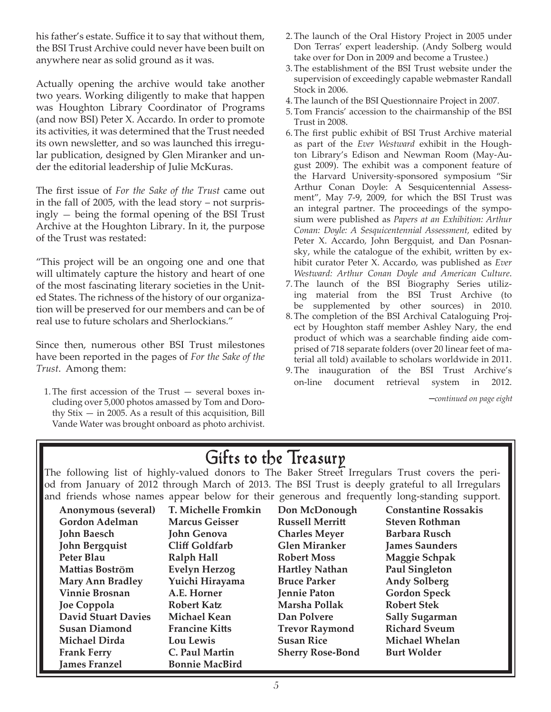his father's estate. Suffice it to say that without them, the BSI Trust Archive could never have been built on anywhere near as solid ground as it was.

Actually opening the archive would take another two years. Working diligently to make that happen was Houghton Library Coordinator of Programs (and now BSI) Peter X. Accardo. In order to promote its activities, it was determined that the Trust needed its own newsletter, and so was launched this irregular publication, designed by Glen Miranker and under the editorial leadership of Julie McKuras.

The first issue of *For the Sake of the Trust* came out in the fall of 2005, with the lead story – not surprisingly — being the formal opening of the BSI Trust Archive at the Houghton Library. In it, the purpose of the Trust was restated:

"This project will be an ongoing one and one that will ultimately capture the history and heart of one of the most fascinating literary societies in the United States. The richness of the history of our organization will be preserved for our members and can be of real use to future scholars and Sherlockians."

Since then, numerous other BSI Trust milestones have been reported in the pages of *For the Sake of the Trust*. Among them:

1.The first accession of the Trust — several boxes including over 5,000 photos amassed by Tom and Dorothy  $Stix - in 2005$ . As a result of this acquisition, Bill Vande Water was brought onboard as photo archivist.

- 2.The launch of the Oral History Project in 2005 under Don Terras' expert leadership. (Andy Solberg would take over for Don in 2009 and become a Trustee.)
- 3.The establishment of the BSI Trust website under the supervision of exceedingly capable webmaster Randall Stock in 2006.
- 4.The launch of the BSI Questionnaire Project in 2007.
- 5.Tom Francis' accession to the chairmanship of the BSI Trust in 2008.
- 6.The first public exhibit of BSI Trust Archive material as part of the *Ever Westward* exhibit in the Houghton Library's Edison and Newman Room (May-August 2009). The exhibit was a component feature of the Harvard University-sponsored symposium "Sir Arthur Conan Doyle: A Sesquicentennial Assessment", May 7-9, 2009, for which the BSI Trust was an integral partner. The proceedings of the symposium were published as *Papers at an Exhibition: Arthur Conan: Doyle: A Sesquicentennial Assessment,* edited by Peter X. Accardo, John Bergquist, and Dan Posnansky, while the catalogue of the exhibit, written by exhibit curator Peter X. Accardo, was published as *Ever Westward: Arthur Conan Doyle and American Culture*.
- 7.The launch of the BSI Biography Series utilizing material from the BSI Trust Archive (to be supplemented by other sources) in 2010.
- 8.The completion of the BSI Archival Cataloguing Project by Houghton staff member Ashley Nary, the end product of which was a searchable finding aide comprised of 718 separate folders (over 20 linear feet of material all told) available to scholars worldwide in 2011.
- 9.The inauguration of the BSI Trust Archive's on-line document retrieval system in 2012.

─*continued on page eight*

# Gifts to the Treasury

The following list of highly-valued donors to The Baker Street Irregulars Trust covers the period from January of 2012 through March of 2013. The BSI Trust is deeply grateful to all Irregulars and friends whose names appear below for their generous and frequently long-standing support.

| Anonymous (several)        | T. Michelle Fromkin   | Don McDonough           | <b>Constantine Rossakis</b> |
|----------------------------|-----------------------|-------------------------|-----------------------------|
| <b>Gordon Adelman</b>      | <b>Marcus Geisser</b> | <b>Russell Merritt</b>  | <b>Steven Rothman</b>       |
| <b>John Baesch</b>         | <b>John Genova</b>    | <b>Charles Meyer</b>    | Barbara Rusch               |
| <b>John Bergquist</b>      | Cliff Goldfarb        | <b>Glen Miranker</b>    | <b>James Saunders</b>       |
| Peter Blau                 | Ralph Hall            | <b>Robert Moss</b>      | Maggie Schpak               |
| Mattias Boström            | <b>Evelyn Herzog</b>  | <b>Hartley Nathan</b>   | <b>Paul Singleton</b>       |
| <b>Mary Ann Bradley</b>    | Yuichi Hirayama       | <b>Bruce Parker</b>     | <b>Andy Solberg</b>         |
| <b>Vinnie Brosnan</b>      | A.E. Horner           | Jennie Paton            | <b>Gordon Speck</b>         |
| Joe Coppola                | <b>Robert Katz</b>    | Marsha Pollak           | <b>Robert Stek</b>          |
| <b>David Stuart Davies</b> | <b>Michael Kean</b>   | Dan Polvere             | <b>Sally Sugarman</b>       |
| <b>Susan Diamond</b>       | <b>Francine Kitts</b> | <b>Trevor Raymond</b>   | <b>Richard Sveum</b>        |
| <b>Michael Dirda</b>       | Lou Lewis             | <b>Susan Rice</b>       | <b>Michael Whelan</b>       |
| <b>Frank Ferry</b>         | C. Paul Martin        | <b>Sherry Rose-Bond</b> | <b>Burt Wolder</b>          |
| <b>James Franzel</b>       | <b>Bonnie MacBird</b> |                         |                             |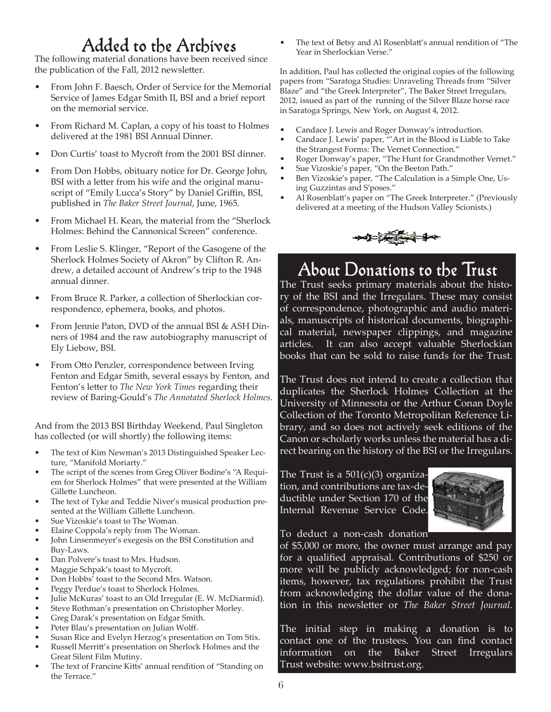The following material donations have been received since the publication of the Fall, 2012 newsletter.

- From John F. Baesch, Order of Service for the Memorial Service of James Edgar Smith II, BSI and a brief report on the memorial service.
- From Richard M. Caplan, a copy of his toast to Holmes delivered at the 1981 BSI Annual Dinner.
- Don Curtis' toast to Mycroft from the 2001 BSI dinner.
- From Don Hobbs, obituary notice for Dr. George John, BSI with a letter from his wife and the original manuscript of "Emily Lucca's Story" by Daniel Griffin, BSI, published in *The Baker Street Journal*, June, 1965.
- From Michael H. Kean, the material from the "Sherlock Holmes: Behind the Cannonical Screen" conference.
- From Leslie S. Klinger, "Report of the Gasogene of the Sherlock Holmes Society of Akron" by Clifton R. Andrew, a detailed account of Andrew's trip to the 1948 annual dinner.
- From Bruce R. Parker, a collection of Sherlockian correspondence, ephemera, books, and photos.
- From Jennie Paton, DVD of the annual BSI & ASH Dinners of 1984 and the raw autobiography manuscript of Ely Liebow, BSI.
- From Otto Penzler, correspondence between Irving Fenton and Edgar Smith, several essays by Fenton, and Fenton's letter to *The New York Times* regarding their review of Baring-Gould's *The Annotated Sherlock Holmes*.

And from the 2013 BSI Birthday Weekend, Paul Singleton has collected (or will shortly) the following items:

- The text of Kim Newman's 2013 Distinguished Speaker Lecture, "Manifold Moriarty."
- The script of the scenes from Greg Oliver Bodine's "A Requiem for Sherlock Holmes" that were presented at the William Gillette Luncheon.
- The text of Tyke and Teddie Niver's musical production presented at the William Gillette Luncheon.
- Sue Vizoskie's toast to The Woman.
- Elaine Coppola's reply from The Woman.
- John Linsenmeyer's exegesis on the BSI Constitution and Buy-Laws.
- Dan Polvere's toast to Mrs. Hudson.
- Maggie Schpak's toast to Mycroft.
- Don Hobbs' toast to the Second Mrs. Watson.
- Peggy Perdue's toast to Sherlock Holmes.
- Julie McKuras' toast to an Old Irregular (E. W. McDiarmid).
- Steve Rothman's presentation on Christopher Morley.
- Greg Darak's presentation on Edgar Smith.
- Peter Blau's presentation on Julian Wolff.
- Susan Rice and Evelyn Herzog's presentation on Tom Stix.
- Russell Merritt's presentation on Sherlock Holmes and the Great Silent Film Mutiny.
- The text of Francine Kitts' annual rendition of "Standing on the Terrace."

Added to the Archives • The text of Betsy and Al Rosenblatt's annual rendition of "The Year in Sherlockian Verse."

> In addition, Paul has collected the original copies of the following papers from "Saratoga Studies: Unraveling Threads from "Silver Blaze" and "the Greek Interpreter", The Baker Street Irregulars, 2012, issued as part of the running of the Silver Blaze horse race in Saratoga Springs, New York, on August 4, 2012.

- Candace J. Lewis and Roger Donway's introduction.
- Candace J. Lewis' paper, "'Art in the Blood is Liable to Take the Strangest Forms: The Vernet Connection."
- Roger Donway's paper, "The Hunt for Grandmother Vernet."
- Sue Vizoskie's paper, "On the Beeton Path."
- Ben Vizoskie's paper, "The Calculation is a Simple One, Using Guzzintas and S'poses."
- Al Rosenblatt's paper on "The Greek Interpreter." (Previously delivered at a meeting of the Hudson Valley Scionists.)



# About Donations to the Trust

The Trust seeks primary materials about the history of the BSI and the Irregulars. These may consist of correspondence, photographic and audio materials, manuscripts of historical documents, biographical material, newspaper clippings, and magazine articles. It can also accept valuable Sherlockian books that can be sold to raise funds for the Trust.

The Trust does not intend to create a collection that duplicates the Sherlock Holmes Collection at the University of Minnesota or the Arthur Conan Doyle Collection of the Toronto Metropolitan Reference Library, and so does not actively seek editions of the Canon or scholarly works unless the material has a direct bearing on the history of the BSI or the Irregulars.

The Trust is a  $501(c)(3)$  organization, and contributions are tax-deductible under Section 170 of the Internal Revenue Service Code.



To deduct a non-cash donation

of \$5,000 or more, the owner must arrange and pay for a qualified appraisal. Contributions of \$250 or more will be publicly acknowledged; for non-cash items, however, tax regulations prohibit the Trust from acknowledging the dollar value of the donation in this newsletter or *The Baker Street Journal.*

The initial step in making a donation is to contact one of the trustees. You can find contact information on the Baker Street Irregulars Trust website: www.bsitrust.org.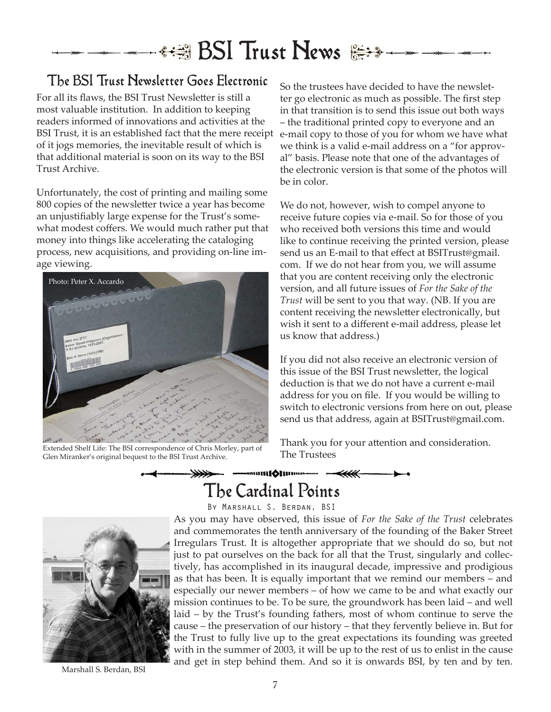# **\*週 BSI Trust News**

## The BSI Trust Newsletter Goes Electronic  $\mathrm{_{So\,the\,trustees\,have\,decided\,to\,have\,the\,newslet-}}$

For all its flaws, the BSI Trust Newsletter is still a most valuable institution. In addition to keeping readers informed of innovations and activities at the BSI Trust, it is an established fact that the mere receipt of it jogs memories, the inevitable result of which is that additional material is soon on its way to the BSI Trust Archive.

Unfortunately, the cost of printing and mailing some 800 copies of the newsletter twice a year has become an unjustifiably large expense for the Trust's somewhat modest coffers. We would much rather put that money into things like accelerating the cataloging process, new acquisitions, and providing on-line image viewing.



Extended Shelf Life: The BSI correspondence of Chris Morley, part of  $\overline{I}$   $\overline{I}$   $\overline{I}$   $\overline{I}$   $\overline{I}$   $\overline{I}$   $\overline{I}$   $\overline{I}$   $\overline{I}$   $\overline{I}$   $\overline{I}$   $\overline{I}$   $\overline{I}$   $\overline{I}$   $\overline{I}$   $\overline{I}$   $\overline{I}$ Glen Miranker's original bequest to the BSI Trust Archive.

ter go electronic as much as possible. The first step in that transition is to send this issue out both ways – the traditional printed copy to everyone and an e-mail copy to those of you for whom we have what we think is a valid e-mail address on a "for approval" basis. Please note that one of the advantages of the electronic version is that some of the photos will be in color.

We do not, however, wish to compel anyone to receive future copies via e-mail. So for those of you who received both versions this time and would like to continue receiving the printed version, please send us an E-mail to that effect at BSITrust@gmail. com. If we do not hear from you, we will assume that you are content receiving only the electronic version, and all future issues of *For the Sake of the Trust* will be sent to you that way. (NB. If you are content receiving the newsletter electronically, but wish it sent to a different e-mail address, please let us know that address.)

If you did not also receive an electronic version of this issue of the BSI Trust newsletter, the logical deduction is that we do not have a current e-mail address for you on file. If you would be willing to switch to electronic versions from here on out, please send us that address, again at BSITrust@gmail.com.

Thank you for your attention and consideration.

# The Cardinal Points

-mani(Olimmo - -



By Marshall S. Berdan, BSI As you may have observed, this issue of *For the Sake of the Trust* celebrates and commemorates the tenth anniversary of the founding of the Baker Street Irregulars Trust. It is altogether appropriate that we should do so, but not just to pat ourselves on the back for all that the Trust, singularly and collectively, has accomplished in its inaugural decade, impressive and prodigious as that has been. It is equally important that we remind our members – and especially our newer members – of how we came to be and what exactly our mission continues to be. To be sure, the groundwork has been laid – and well laid – by the Trust's founding fathers, most of whom continue to serve the cause – the preservation of our history – that they fervently believe in. But for the Trust to fully live up to the great expectations its founding was greeted with in the summer of 2003, it will be up to the rest of us to enlist in the cause and get in step behind them. And so it is onwards BSI, by ten and by ten. Marshall S. Berdan, BSI